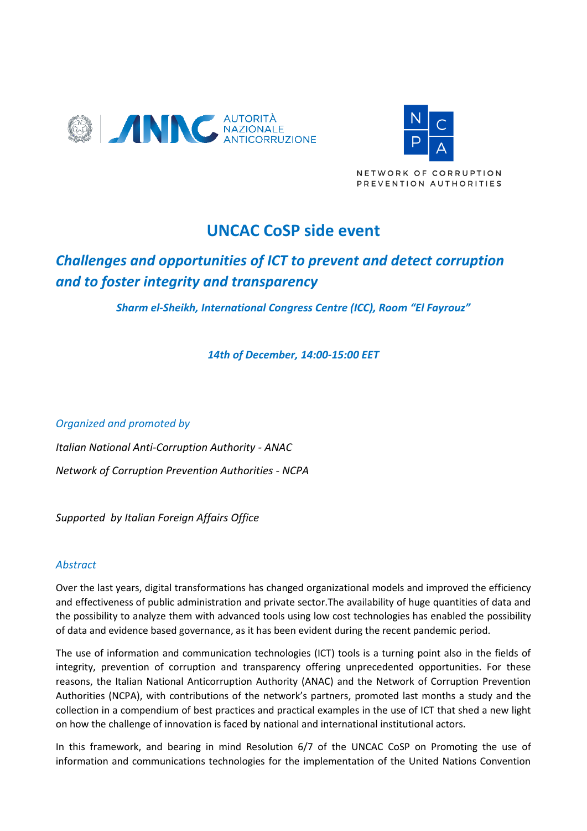



NETWORK OF CORRUPTION PREVENTION AUTHORITIES

# **UNCAC CoSP side event**

## *Challenges and opportunities of ICT to prevent and detect corruption and to foster integrity and transparency*

*Sharm el-Sheikh, International Congress Centre (ICC), Room "El Fayrouz"*

*14th of December, 14:00-15:00 EET*

*Organized and promoted by* 

*Italian National Anti-Corruption Authority - ANAC Network of Corruption Prevention Authorities - NCPA* 

*Supported by Italian Foreign Affairs Office*

### *Abstract*

Over the last years, digital transformations has changed organizational models and improved the efficiency and effectiveness of public administration and private sector.The availability of huge quantities of data and the possibility to analyze them with advanced tools using low cost technologies has enabled the possibility of data and evidence based governance, as it has been evident during the recent pandemic period.

The use of information and communication technologies (ICT) tools is a turning point also in the fields of integrity, prevention of corruption and transparency offering unprecedented opportunities. For these reasons, the Italian National Anticorruption Authority (ANAC) and the Network of Corruption Prevention Authorities (NCPA), with contributions of the network's partners, promoted last months a study and the collection in a compendium of best practices and practical examples in the use of ICT that shed a new light on how the challenge of innovation is faced by national and international institutional actors.

In this framework, and bearing in mind Resolution 6/7 of the UNCAC CoSP on Promoting the use of information and communications technologies for the implementation of the United Nations Convention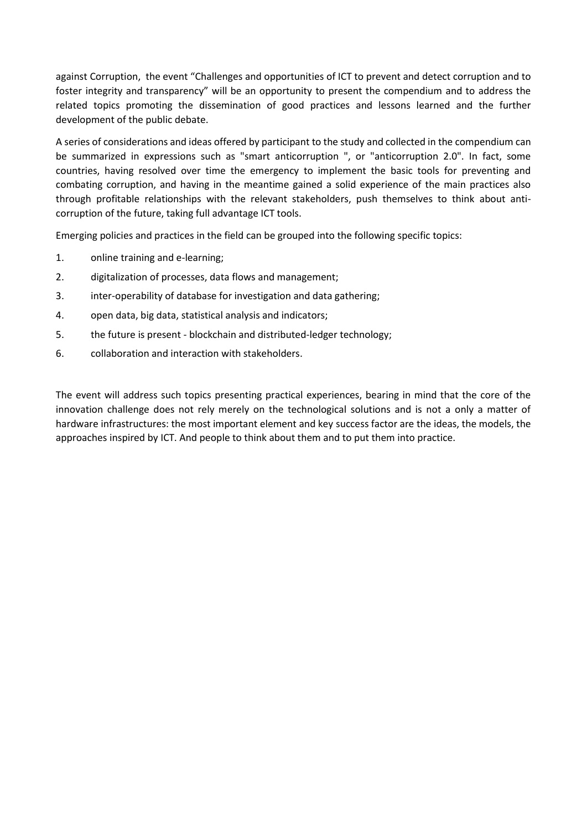against Corruption, the event "Challenges and opportunities of ICT to prevent and detect corruption and to foster integrity and transparency" will be an opportunity to present the compendium and to address the related topics promoting the dissemination of good practices and lessons learned and the further development of the public debate.

A series of considerations and ideas offered by participant to the study and collected in the compendium can be summarized in expressions such as "smart anticorruption ", or "anticorruption 2.0". In fact, some countries, having resolved over time the emergency to implement the basic tools for preventing and combating corruption, and having in the meantime gained a solid experience of the main practices also through profitable relationships with the relevant stakeholders, push themselves to think about anticorruption of the future, taking full advantage ICT tools.

Emerging policies and practices in the field can be grouped into the following specific topics:

- 1. online training and e-learning;
- 2. digitalization of processes, data flows and management;
- 3. inter-operability of database for investigation and data gathering;
- 4. open data, big data, statistical analysis and indicators;
- 5. the future is present blockchain and distributed-ledger technology;
- 6. collaboration and interaction with stakeholders.

The event will address such topics presenting practical experiences, bearing in mind that the core of the innovation challenge does not rely merely on the technological solutions and is not a only a matter of hardware infrastructures: the most important element and key success factor are the ideas, the models, the approaches inspired by ICT. And people to think about them and to put them into practice.